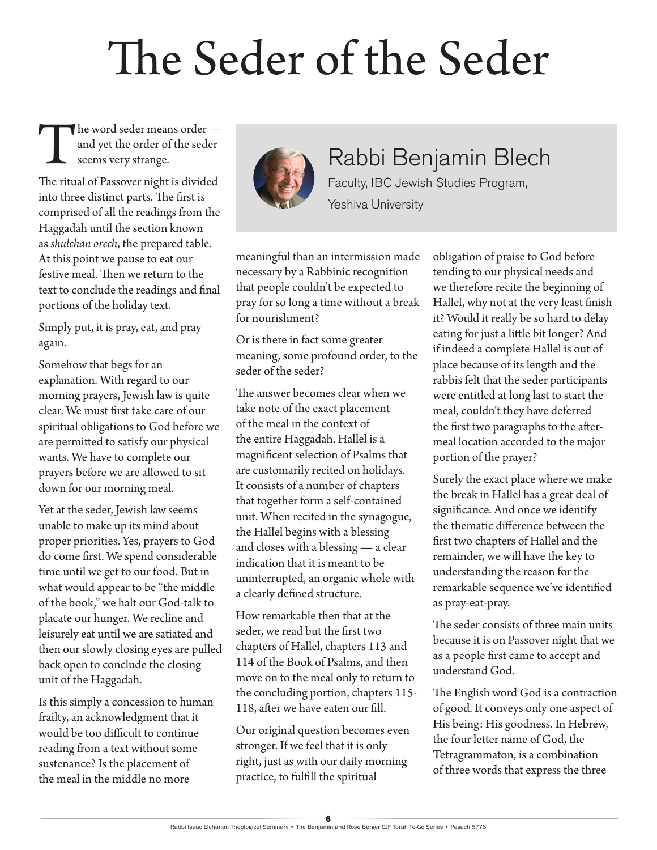# The Seder of the Seder

The word seder means order and yet the order of the seder seems very strange.

The ritual of Passover night is divided into three distinct parts. The first is comprised of all the readings from the Haggadah until the section known as *shulchan orech*, the prepared table. At this point we pause to eat our festive meal. Then we return to the text to conclude the readings and final portions of the holiday text.

Simply put, it is pray, eat, and pray again.

Somehow that begs for an explanation. With regard to our morning prayers, Jewish law is quite clear. We must first take care of our spiritual obligations to God before we are permitted to satisfy our physical wants. We have to complete our prayers before we are allowed to sit down for our morning meal.

Yet at the seder, Jewish law seems unable to make up its mind about proper priorities. Yes, prayers to God do come first. We spend considerable time until we get to our food. But in what would appear to be "the middle of the book," we halt our God-talk to placate our hunger. We recline and leisurely eat until we are satiated and then our slowly closing eyes are pulled back open to conclude the closing unit of the Haggadah.

Is this simply a concession to human frailty, an acknowledgment that it would be too difficult to continue reading from a text without some sustenance? Is the placement of the meal in the middle no more



## Rabbi Benjamin Blech

Faculty, IBC Jewish Studies Program, Yeshiva University

meaningful than an intermission made necessary by a Rabbinic recognition that people couldn't be expected to pray for so long a time without a break for nourishment?

Or is there in fact some greater meaning, some profound order, to the seder of the seder?

The answer becomes clear when we take note of the exact placement of the meal in the context of the entire Haggadah. Hallel is a magnificent selection of Psalms that are customarily recited on holidays. It consists of a number of chapters that together form a self-contained unit. When recited in the synagogue, the Hallel begins with a blessing and closes with a blessing — a clear indication that it is meant to be uninterrupted, an organic whole with a clearly defined structure.

How remarkable then that at the seder, we read but the first two chapters of Hallel, chapters 113 and 114 of the Book of Psalms, and then move on to the meal only to return to the concluding portion, chapters 115- 118, after we have eaten our fill.

Our original question becomes even stronger. If we feel that it is only right, just as with our daily morning practice, to fulfill the spiritual

obligation of praise to God before tending to our physical needs and we therefore recite the beginning of Hallel, why not at the very least finish it? Would it really be so hard to delay eating for just a little bit longer? And if indeed a complete Hallel is out of place because of its length and the rabbis felt that the seder participants were entitled at long last to start the meal, couldn't they have deferred the first two paragraphs to the aftermeal location accorded to the major portion of the prayer?

Surely the exact place where we make the break in Hallel has a great deal of significance. And once we identify the thematic difference between the first two chapters of Hallel and the remainder, we will have the key to understanding the reason for the remarkable sequence we've identified as pray-eat-pray.

The seder consists of three main units because it is on Passover night that we as a people first came to accept and understand God.

The English word God is a contraction of good. It conveys only one aspect of His being: His goodness. In Hebrew, the four letter name of God, the Tetragrammaton, is a combination of three words that express the three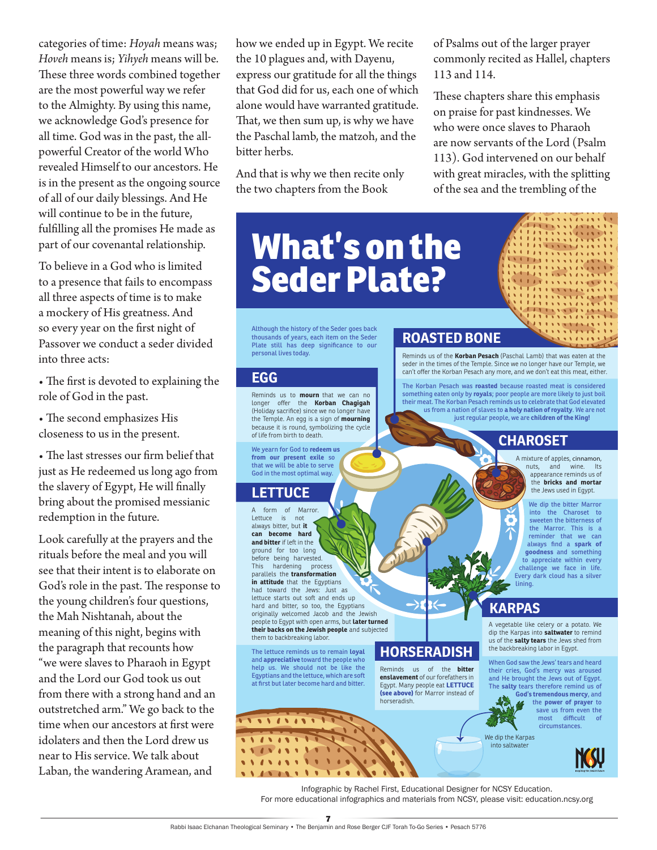categories of time: *Hoyah* means was; *Hoveh* means is; *Yihyeh* means will be. These three words combined together are the most powerful way we refer to the Almighty. By using this name, we acknowledge God's presence for all time. God was in the past, the allpowerful Creator of the world Who revealed Himself to our ancestors. He is in the present as the ongoing source of all of our daily blessings. And He will continue to be in the future, fulfilling all the promises He made as part of our covenantal relationship.

To believe in a God who is limited to a presence that fails to encompass all three aspects of time is to make a mockery of His greatness. And so every year on the first night of Passover we conduct a seder divided into three acts:

• The first is devoted to explaining the role of God in the past.

• The second emphasizes His closeness to us in the present.

• The last stresses our firm belief that just as He redeemed us long ago from the slavery of Egypt, He will finally bring about the promised messianic redemption in the future.

Look carefully at the prayers and the rituals before the meal and you will see that their intent is to elaborate on God's role in the past. The response to the young children's four questions, the Mah Nishtanah, about the meaning of this night, begins with the paragraph that recounts how "we were slaves to Pharaoh in Egypt and the Lord our God took us out from there with a strong hand and an outstretched arm." We go back to the time when our ancestors at first were idolaters and then the Lord drew us near to His service. We talk about Laban, the wandering Aramean, and

how we ended up in Egypt. We recite the 10 plagues and, with Dayenu, express our gratitude for all the things that God did for us, each one of which alone would have warranted gratitude. That, we then sum up, is why we have the Paschal lamb, the matzoh, and the bitter herbs.

And that is why we then recite only the two chapters from the Book

**What's on the Seder Plate?**

Although the history of the Seder goes back thousands of years, each item on the Seder Plate still has deep significance to our personal lives today.

#### **EGG**

Reminds us to **mourn** that we can no longer offer the **Korban Chagigah** (Holiday sacrifice) since we no longer have the Temple. An egg is a sign of **mourning**  because it is round, symbolizing the cycle of life from birth to death.

We yearn for God to **redeem us from our present exile** so that we will be able to serve God in the most optimal way.

#### **LETTUCE**

A form of Marror. Lettuce is not always bitter, but **it can become hard and bitter** if left in the ground for too long before being harvested.<br>This hardening process This hardening parallels the **transformation in attitude** that the Egyptians had toward the Jews: Just as lettuce starts out soft and ends up hard and bitter, so too, the Egyptians originally welcomed Jacob and the Jewish people to Egypt with open arms, but **later turned their backs on the Jewish people** and subjected them to backbreaking labor

The lettuce reminds us to remain **loyal**  and **appreciative** toward the people who help us. We should not be like the Egyptians and the lettuce, which are soft at first but later become hard and bitter.

*PERSONAL PROPERTY*  $\sqrt{1}$ 

 $\bullet$ 

### **ROASTED BONE**

Reminds us of the **Korban Pesach** (Paschal Lamb) that was eaten at the seder in the times of the Temple. Since we no longer have our Temple, we can't offer the Korban Pesach any more, and we don't eat this meat, either.

of Psalms out of the larger prayer commonly recited as Hallel, chapters

These chapters share this emphasis on praise for past kindnesses. We who were once slaves to Pharaoh are now servants of the Lord (Psalm 113). God intervened on our behalf with great miracles, with the splitting of the sea and the trembling of the

113 and 114.

The Korban Pesach was **roasted** because roasted meat is considered something eaten only by **royals**; poor people are more likely to just boil their meat. The Korban Pesach reminds us to celebrate that God elevated us from a nation of slaves to **a holy nation of royalty**. We are not just regular people, we are **children of the King!**

#### **CHAROSET**

A mixture of apples, cinnamon, nuts, and wine. Its appearance reminds us of the **bricks and mortar** the Jews used in Egypt.

 $\frac{1}{2}$ THE STATE **LITERATORY** 

We dip the bitter Marror into the Charoset to sweeten the bitterness of the Marror. This is a reminder that we can always find a **spark of goodness** and something to appreciate within every challenge we face in life. Every dark cloud has a silver lining.

#### **KARPAS**

A vegetable like celery or a potato. We dip the Karpas into **saltwater** to remind us of the **salty tears** the Jews shed from the backbreaking labor in Egypt.

When God saw the Jews' tears and heard their cries, God's mercy was aroused and He brought the Jews out of Egypt. The **salty** tears therefore remind us of **God's tremendous mercy**, and

the **power of prayer** to save us from even the<br>most difficult of most difficult circumstances.

We dip the Karpas into saltwater

Infographic by Rachel First, Educational Designer for NCSY Education. For more educational infographics and materials from NCSY, please visit: education.ncsy.org

**HORSERADISH** Reminds us of the **bitter enslavement** of our forefathers in Egypt. Many people eat **LETTUCE (see above)** for Marror instead of

horseradish.